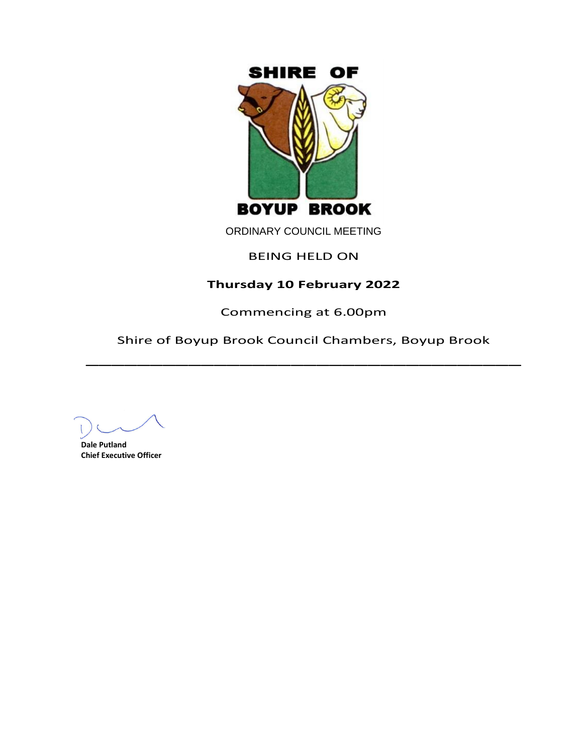

ORDINARY COUNCIL MEETING

# BEING HELD ON

# **Thursday 10 February 2022**

Commencing at 6.00pm

Shire of Boyup Brook Council Chambers, Boyup Brook  $\overline{\phantom{a}}$ 

**Dale Putland Chief Executive Officer**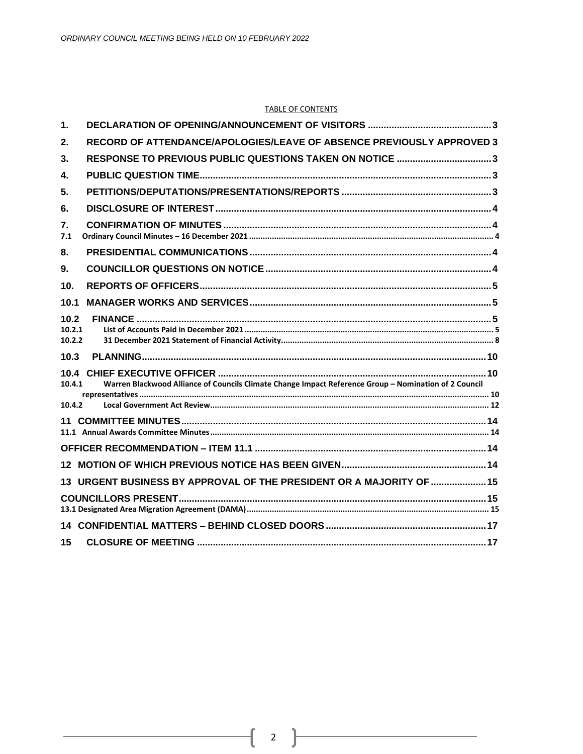#### **TABLE OF CONTENTS**

| 1.                       |                                                                                                       |  |
|--------------------------|-------------------------------------------------------------------------------------------------------|--|
| 2.                       | RECORD OF ATTENDANCE/APOLOGIES/LEAVE OF ABSENCE PREVIOUSLY APPROVED 3                                 |  |
| 3.                       | RESPONSE TO PREVIOUS PUBLIC QUESTIONS TAKEN ON NOTICE 3                                               |  |
| 4.                       |                                                                                                       |  |
| 5.                       |                                                                                                       |  |
| 6.                       |                                                                                                       |  |
| 7.<br>7.1                |                                                                                                       |  |
| 8.                       |                                                                                                       |  |
| 9.                       |                                                                                                       |  |
| 10.                      |                                                                                                       |  |
| 10.1                     |                                                                                                       |  |
| 10.2<br>10.2.1<br>10.2.2 |                                                                                                       |  |
| 10.3                     |                                                                                                       |  |
| 10.4.1                   | Warren Blackwood Alliance of Councils Climate Change Impact Reference Group - Nomination of 2 Council |  |
| 10.4.2                   |                                                                                                       |  |
|                          |                                                                                                       |  |
|                          |                                                                                                       |  |
|                          |                                                                                                       |  |
|                          | 13 URGENT BUSINESS BY APPROVAL OF THE PRESIDENT OR A MAJORITY OF  15                                  |  |
|                          |                                                                                                       |  |
|                          |                                                                                                       |  |
| 15                       |                                                                                                       |  |

ſ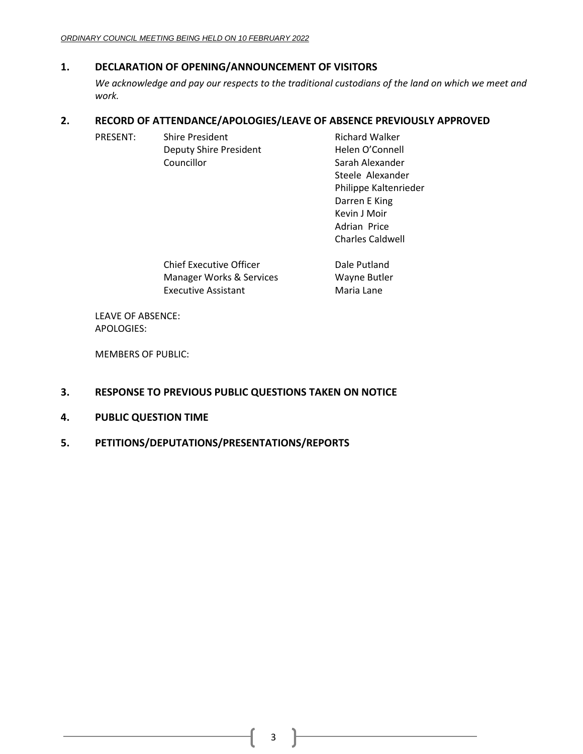# <span id="page-2-0"></span>**1. DECLARATION OF OPENING/ANNOUNCEMENT OF VISITORS**

*We acknowledge and pay our respects to the traditional custodians of the land on which we meet and work.*

# <span id="page-2-1"></span>**2. RECORD OF ATTENDANCE/APOLOGIES/LEAVE OF ABSENCE PREVIOUSLY APPROVED**

| <b>Shire President</b>        | <b>Richard Walker</b>   |
|-------------------------------|-------------------------|
| <b>Deputy Shire President</b> | Helen O'Connell         |
| Councillor                    | Sarah Alexander         |
|                               | Steele Alexander        |
|                               | Philippe Kaltenrieder   |
|                               | Darren E King           |
|                               | Kevin J Moir            |
|                               | Adrian Price            |
|                               | <b>Charles Caldwell</b> |
|                               |                         |
|                               |                         |

| <b>Chief Executive Officer</b> | Dale Putland |
|--------------------------------|--------------|
| Manager Works & Services       | Wayne Butler |
| <b>Executive Assistant</b>     | Maria Lane   |

LEAVE OF ABSENCE: APOLOGIES:

MEMBERS OF PUBLIC:

# <span id="page-2-2"></span>**3. RESPONSE TO PREVIOUS PUBLIC QUESTIONS TAKEN ON NOTICE**

- <span id="page-2-3"></span>**4. PUBLIC QUESTION TIME**
- <span id="page-2-4"></span>**5. PETITIONS/DEPUTATIONS/PRESENTATIONS/REPORTS**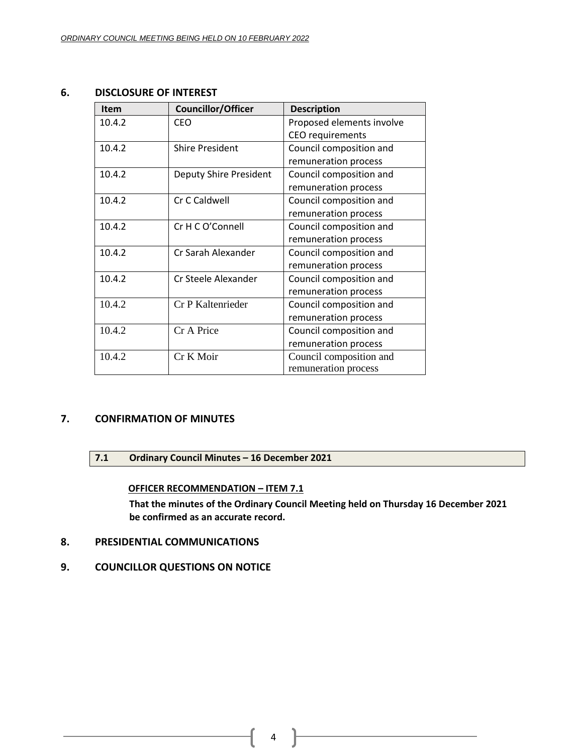# <span id="page-3-0"></span>**6. DISCLOSURE OF INTEREST**

| <b>Item</b> | <b>Councillor/Officer</b>     | <b>Description</b>        |
|-------------|-------------------------------|---------------------------|
| 10.4.2      | <b>CEO</b>                    | Proposed elements involve |
|             |                               | CEO requirements          |
| 10.4.2      | <b>Shire President</b>        | Council composition and   |
|             |                               | remuneration process      |
| 10.4.2      | <b>Deputy Shire President</b> | Council composition and   |
|             |                               | remuneration process      |
| 10.4.2      | Cr C Caldwell                 | Council composition and   |
|             |                               | remuneration process      |
| 10.4.2      | Cr H C O'Connell              | Council composition and   |
|             |                               | remuneration process      |
| 10.4.2      | Cr Sarah Alexander            | Council composition and   |
|             |                               | remuneration process      |
| 10.4.2      | Cr Steele Alexander           | Council composition and   |
|             |                               | remuneration process      |
| 10.4.2      | Cr P Kaltenrieder             | Council composition and   |
|             |                               | remuneration process      |
| 10.4.2      | Cr A Price                    | Council composition and   |
|             |                               | remuneration process      |
| 10.4.2      | Cr K Moir                     | Council composition and   |
|             |                               | remuneration process      |

# <span id="page-3-2"></span><span id="page-3-1"></span>**7. CONFIRMATION OF MINUTES**

# **7.1 Ordinary Council Minutes – 16 December 2021**

**OFFICER RECOMMENDATION – ITEM 7.1**

**That the minutes of the Ordinary Council Meeting held on Thursday 16 December 2021 be confirmed as an accurate record.**

- <span id="page-3-3"></span>**8. PRESIDENTIAL COMMUNICATIONS**
- <span id="page-3-4"></span>**9. COUNCILLOR QUESTIONS ON NOTICE**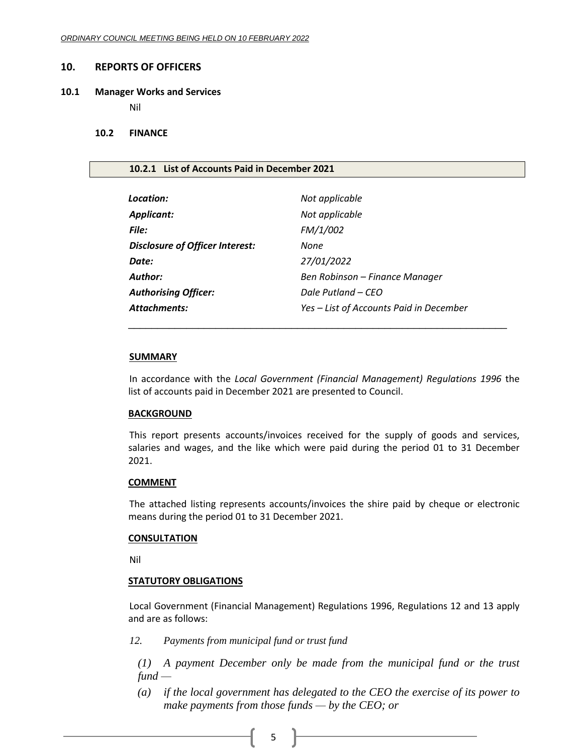#### <span id="page-4-0"></span>**10. REPORTS OF OFFICERS**

#### <span id="page-4-1"></span>**10.1 Manager Works and Services**

Nil

#### <span id="page-4-2"></span>**10.2 FINANCE**

#### <span id="page-4-3"></span>**10.2.1 List of Accounts Paid in December 2021**

| Location:                              | Not applicable                          |
|----------------------------------------|-----------------------------------------|
| <b>Applicant:</b>                      | Not applicable                          |
| File:                                  | FM/1/002                                |
| <b>Disclosure of Officer Interest:</b> | None                                    |
| Date:                                  | 27/01/2022                              |
| Author:                                | Ben Robinson – Finance Manager          |
| <b>Authorising Officer:</b>            | Dale Putland – CEO                      |
| <b>Attachments:</b>                    | Yes - List of Accounts Paid in December |

#### **SUMMARY**

In accordance with the *Local Government (Financial Management) Regulations 1996* the list of accounts paid in December 2021 are presented to Council.

\_\_\_\_\_\_\_\_\_\_\_\_\_\_\_\_\_\_\_\_\_\_\_\_\_\_\_\_\_\_\_\_\_\_\_\_\_\_\_\_\_\_\_\_\_\_\_\_\_\_\_\_\_\_\_\_\_\_\_\_\_\_\_\_\_

## **BACKGROUND**

This report presents accounts/invoices received for the supply of goods and services, salaries and wages, and the like which were paid during the period 01 to 31 December 2021.

#### **COMMENT**

The attached listing represents accounts/invoices the shire paid by cheque or electronic means during the period 01 to 31 December 2021.

#### **CONSULTATION**

Nil

### **STATUTORY OBLIGATIONS**

Local Government (Financial Management) Regulations 1996, Regulations 12 and 13 apply and are as follows:

*12. Payments from municipal fund or trust fund*

*(1) A payment December only be made from the municipal fund or the trust fund —*

*(a) if the local government has delegated to the CEO the exercise of its power to make payments from those funds — by the CEO; or*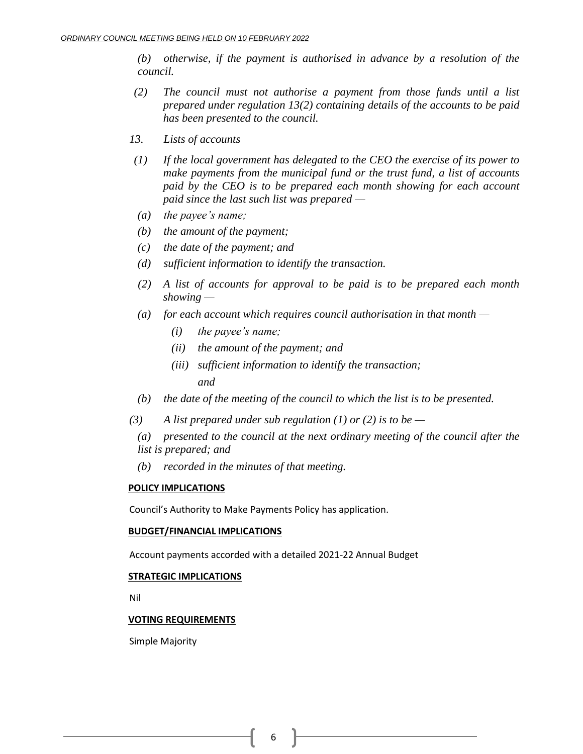*(b) otherwise, if the payment is authorised in advance by a resolution of the council.*

- *(2) The council must not authorise a payment from those funds until a list prepared under regulation 13(2) containing details of the accounts to be paid has been presented to the council.*
- *13. Lists of accounts*
- *(1) If the local government has delegated to the CEO the exercise of its power to make payments from the municipal fund or the trust fund, a list of accounts paid by the CEO is to be prepared each month showing for each account paid since the last such list was prepared —*
- *(a) the payee's name;*
- *(b) the amount of the payment;*
- *(c) the date of the payment; and*
- *(d) sufficient information to identify the transaction.*
- *(2) A list of accounts for approval to be paid is to be prepared each month showing —*
- *(a) for each account which requires council authorisation in that month —*
	- *(i) the payee's name;*
	- *(ii) the amount of the payment; and*
	- *(iii) sufficient information to identify the transaction;*

*and*

- *(b) the date of the meeting of the council to which the list is to be presented.*
- *(3) A list prepared under sub regulation (1) or (2) is to be —*
	- *(a) presented to the council at the next ordinary meeting of the council after the list is prepared; and*
	- *(b) recorded in the minutes of that meeting.*

# **POLICY IMPLICATIONS**

Council's Authority to Make Payments Policy has application.

### **BUDGET/FINANCIAL IMPLICATIONS**

Account payments accorded with a detailed 2021-22 Annual Budget

# **STRATEGIC IMPLICATIONS**

Nil

# **VOTING REQUIREMENTS**

Simple Majority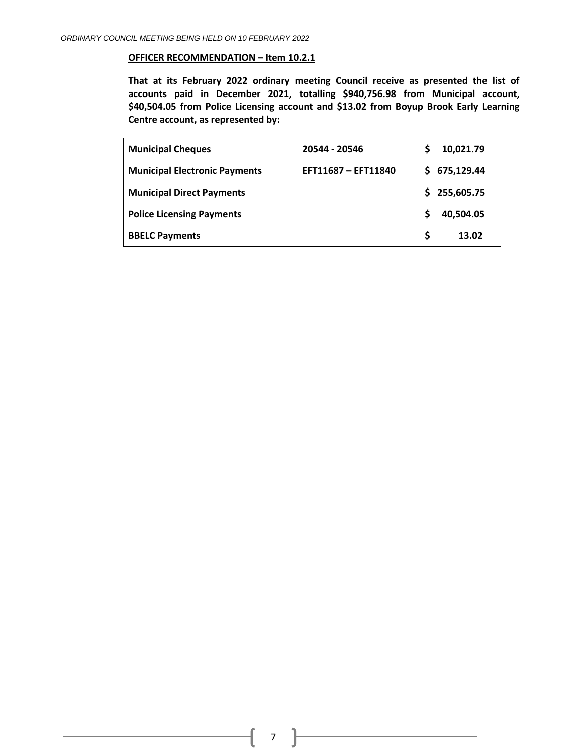#### **OFFICER RECOMMENDATION – Item 10.2.1**

**That at its February 2022 ordinary meeting Council receive as presented the list of accounts paid in December 2021, totalling \$940,756.98 from Municipal account, \$40,504.05 from Police Licensing account and \$13.02 from Boyup Brook Early Learning Centre account, as represented by:**

| <b>Municipal Cheques</b>             | 20544 - 20546       | S  | 10,021.79  |
|--------------------------------------|---------------------|----|------------|
| <b>Municipal Electronic Payments</b> | EFT11687 - EFT11840 | S. | 675,129.44 |
| <b>Municipal Direct Payments</b>     |                     | S. | 255,605.75 |
| <b>Police Licensing Payments</b>     |                     | S  | 40,504.05  |
| <b>BBELC Payments</b>                |                     | S  | 13.02      |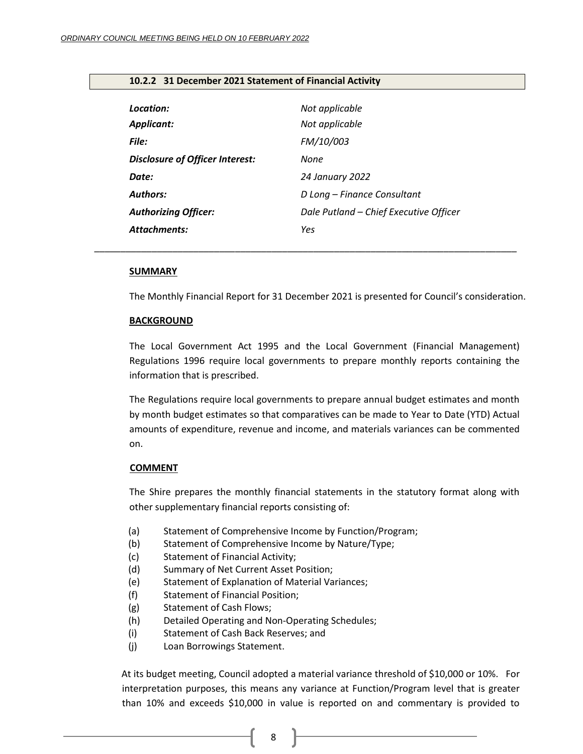| Location:<br><b>Applicant:</b>         | Not applicable<br>Not applicable       |
|----------------------------------------|----------------------------------------|
| File:                                  | FM/10/003                              |
| <b>Disclosure of Officer Interest:</b> | None                                   |
| Date:                                  | <b>24 January 2022</b>                 |
| <b>Authors:</b>                        | D Long – Finance Consultant            |
| <b>Authorizing Officer:</b>            | Dale Putland - Chief Executive Officer |
| Attachments:                           | Yes                                    |

*\_\_\_\_\_\_\_\_\_\_\_\_\_\_\_\_\_\_\_\_\_\_\_\_\_\_\_\_\_\_\_\_\_\_\_\_\_\_\_\_\_\_\_\_\_\_\_\_\_\_\_\_\_\_\_\_\_\_\_\_\_\_\_\_\_\_\_\_\_\_\_\_\_\_\_\_\_\_\_\_\_*

## <span id="page-7-0"></span>**10.2.2 31 December 2021 Statement of Financial Activity**

#### **SUMMARY**

The Monthly Financial Report for 31 December 2021 is presented for Council's consideration.

#### **BACKGROUND**

The Local Government Act 1995 and the Local Government (Financial Management) Regulations 1996 require local governments to prepare monthly reports containing the information that is prescribed.

The Regulations require local governments to prepare annual budget estimates and month by month budget estimates so that comparatives can be made to Year to Date (YTD) Actual amounts of expenditure, revenue and income, and materials variances can be commented on.

#### **COMMENT**

The Shire prepares the monthly financial statements in the statutory format along with other supplementary financial reports consisting of:

- (a) Statement of Comprehensive Income by Function/Program;
- (b) Statement of Comprehensive Income by Nature/Type;
- (c) Statement of Financial Activity;
- (d) Summary of Net Current Asset Position;
- (e) Statement of Explanation of Material Variances;
- (f) Statement of Financial Position;
- (g) Statement of Cash Flows;
- (h) Detailed Operating and Non-Operating Schedules;
- (i) Statement of Cash Back Reserves; and
- (j) Loan Borrowings Statement.

At its budget meeting, Council adopted a material variance threshold of \$10,000 or 10%. For interpretation purposes, this means any variance at Function/Program level that is greater than 10% and exceeds \$10,000 in value is reported on and commentary is provided to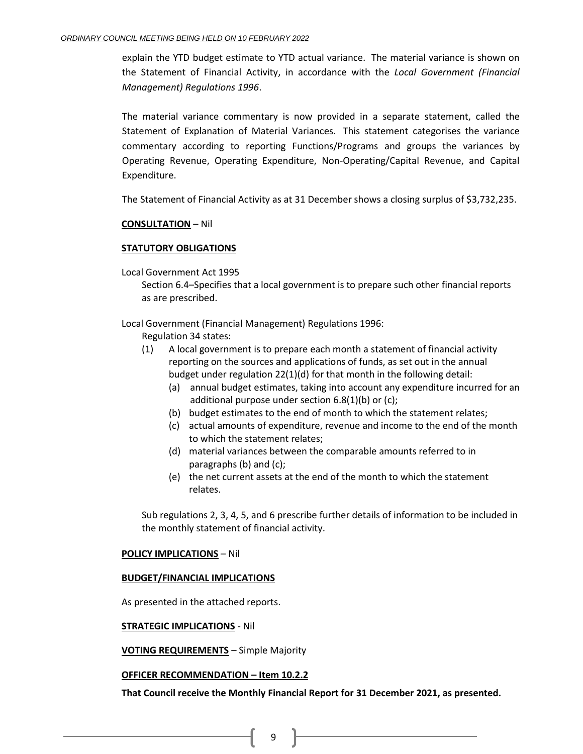explain the YTD budget estimate to YTD actual variance. The material variance is shown on the Statement of Financial Activity, in accordance with the *Local Government (Financial Management) Regulations 1996*.

The material variance commentary is now provided in a separate statement, called the Statement of Explanation of Material Variances. This statement categorises the variance commentary according to reporting Functions/Programs and groups the variances by Operating Revenue, Operating Expenditure, Non-Operating/Capital Revenue, and Capital Expenditure.

The Statement of Financial Activity as at 31 December shows a closing surplus of \$3,732,235.

# **CONSULTATION** – Nil

# **STATUTORY OBLIGATIONS**

Local Government Act 1995

Section 6.4–Specifies that a local government is to prepare such other financial reports as are prescribed.

Local Government (Financial Management) Regulations 1996:

Regulation 34 states:

- (1) A local government is to prepare each month a statement of financial activity reporting on the sources and applications of funds, as set out in the annual budget under regulation 22(1)(d) for that month in the following detail:
	- (a) annual budget estimates, taking into account any expenditure incurred for an additional purpose under section 6.8(1)(b) or (c);
	- (b) budget estimates to the end of month to which the statement relates;
	- (c) actual amounts of expenditure, revenue and income to the end of the month to which the statement relates;
	- (d) material variances between the comparable amounts referred to in paragraphs (b) and (c);
	- (e) the net current assets at the end of the month to which the statement relates.

Sub regulations 2, 3, 4, 5, and 6 prescribe further details of information to be included in the monthly statement of financial activity.

### **POLICY IMPLICATIONS** – Nil

### **BUDGET/FINANCIAL IMPLICATIONS**

As presented in the attached reports.

**STRATEGIC IMPLICATIONS** - Nil

**VOTING REQUIREMENTS** – Simple Majority

### **OFFICER RECOMMENDATION – Item 10.2.2**

**That Council receive the Monthly Financial Report for 31 December 2021, as presented.**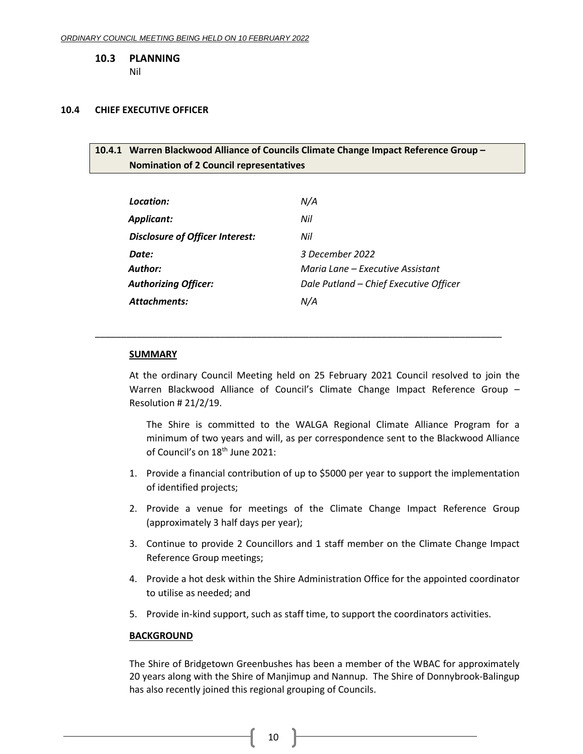<span id="page-9-0"></span>**10.3 PLANNING**

Nil

### <span id="page-9-2"></span><span id="page-9-1"></span>**10.4 CHIEF EXECUTIVE OFFICER**

# **10.4.1 Warren Blackwood Alliance of Councils Climate Change Impact Reference Group – Nomination of 2 Council representatives**

| Location:                       | N/A                                    |
|---------------------------------|----------------------------------------|
| Applicant:                      | Nil                                    |
| Disclosure of Officer Interest: | Nil                                    |
| Date:                           | 3 December 2022                        |
| Author:                         | Maria Lane – Executive Assistant       |
| <b>Authorizing Officer:</b>     | Dale Putland - Chief Executive Officer |
| Attachments:                    | N/A                                    |

\_\_\_\_\_\_\_\_\_\_\_\_\_\_\_\_\_\_\_\_\_\_\_\_\_\_\_\_\_\_\_\_\_\_\_\_\_\_\_\_\_\_\_\_\_\_\_\_\_\_\_\_\_\_\_\_\_\_\_\_\_\_\_\_\_\_\_\_\_\_\_\_\_\_\_\_\_\_

#### **SUMMARY**

At the ordinary Council Meeting held on 25 February 2021 Council resolved to join the Warren Blackwood Alliance of Council's Climate Change Impact Reference Group – Resolution # 21/2/19.

The Shire is committed to the WALGA Regional Climate Alliance Program for a minimum of two years and will, as per correspondence sent to the Blackwood Alliance of Council's on 18<sup>th</sup> June 2021:

- 1. Provide a financial contribution of up to \$5000 per year to support the implementation of identified projects;
- 2. Provide a venue for meetings of the Climate Change Impact Reference Group (approximately 3 half days per year);
- 3. Continue to provide 2 Councillors and 1 staff member on the Climate Change Impact Reference Group meetings;
- 4. Provide a hot desk within the Shire Administration Office for the appointed coordinator to utilise as needed; and
- 5. Provide in-kind support, such as staff time, to support the coordinators activities.

### **BACKGROUND**

The Shire of Bridgetown Greenbushes has been a member of the WBAC for approximately 20 years along with the Shire of Manjimup and Nannup. The Shire of Donnybrook-Balingup has also recently joined this regional grouping of Councils.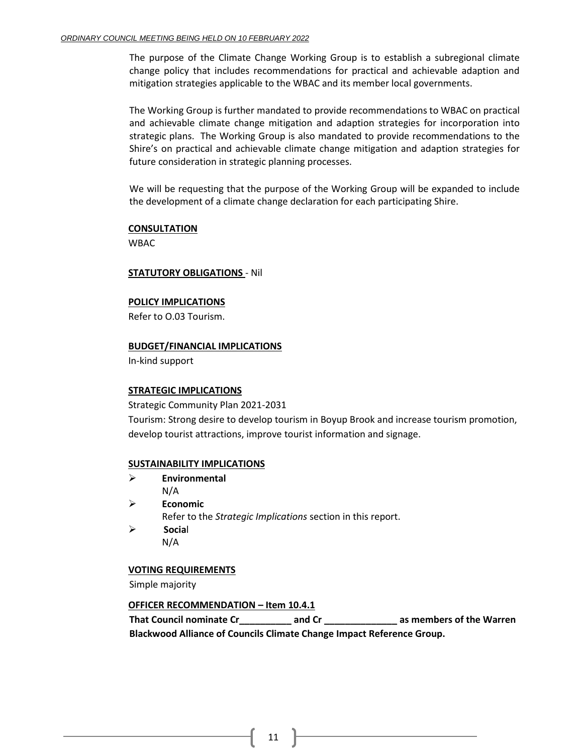The purpose of the Climate Change Working Group is to establish a subregional climate change policy that includes recommendations for practical and achievable adaption and mitigation strategies applicable to the WBAC and its member local governments.

The Working Group is further mandated to provide recommendations to WBAC on practical and achievable climate change mitigation and adaption strategies for incorporation into strategic plans. The Working Group is also mandated to provide recommendations to the Shire's on practical and achievable climate change mitigation and adaption strategies for future consideration in strategic planning processes.

We will be requesting that the purpose of the Working Group will be expanded to include the development of a climate change declaration for each participating Shire.

### **CONSULTATION**

WBAC

#### **STATUTORY OBLIGATIONS** - Nil

#### **POLICY IMPLICATIONS**

Refer to O.03 Tourism.

#### **BUDGET/FINANCIAL IMPLICATIONS**

In-kind support

### **STRATEGIC IMPLICATIONS**

Strategic Community Plan 2021-2031

Tourism: Strong desire to develop tourism in Boyup Brook and increase tourism promotion, develop tourist attractions, improve tourist information and signage.

### **SUSTAINABILITY IMPLICATIONS**

- ➢ **Environmental**
- N/A ➢ **Economic**
	- Refer to the *Strategic Implications* section in this report.
- ➢ **Socia**l N/A

### **VOTING REQUIREMENTS**

Simple majority

### **OFFICER RECOMMENDATION – Item 10.4.1**

**That Council nominate Cr\_\_\_\_\_\_\_\_\_\_ and Cr \_\_\_\_\_\_\_\_\_\_\_\_\_\_ as members of the Warren Blackwood Alliance of Councils Climate Change Impact Reference Group.**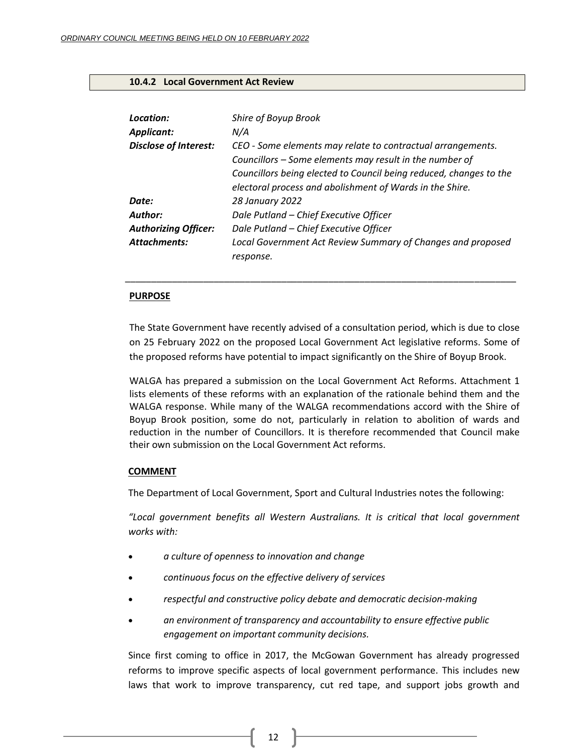# <span id="page-11-0"></span>**10.4.2 Local Government Act Review**

| Location:<br><b>Applicant:</b> | Shire of Boyup Brook<br>N/A                                                                                                                                                                                                                              |
|--------------------------------|----------------------------------------------------------------------------------------------------------------------------------------------------------------------------------------------------------------------------------------------------------|
| <b>Disclose of Interest:</b>   | CEO - Some elements may relate to contractual arrangements.<br>Councillors - Some elements may result in the number of<br>Councillors being elected to Council being reduced, changes to the<br>electoral process and abolishment of Wards in the Shire. |
| Date:                          | 28 January 2022                                                                                                                                                                                                                                          |
| Author:                        | Dale Putland - Chief Executive Officer                                                                                                                                                                                                                   |
| <b>Authorizing Officer:</b>    | Dale Putland - Chief Executive Officer                                                                                                                                                                                                                   |
| <b>Attachments:</b>            | Local Government Act Review Summary of Changes and proposed<br>response.                                                                                                                                                                                 |

### **PURPOSE**

The State Government have recently advised of a consultation period, which is due to close on 25 February 2022 on the proposed Local Government Act legislative reforms. Some of the proposed reforms have potential to impact significantly on the Shire of Boyup Brook.

\_\_\_\_\_\_\_\_\_\_\_\_\_\_\_\_\_\_\_\_\_\_\_\_\_\_\_\_\_\_\_\_\_\_\_\_\_\_\_\_\_\_\_\_\_\_\_\_\_\_\_\_\_\_\_\_\_\_\_\_\_\_\_\_\_\_\_\_\_\_\_\_\_\_\_

WALGA has prepared a submission on the Local Government Act Reforms. Attachment 1 lists elements of these reforms with an explanation of the rationale behind them and the WALGA response. While many of the WALGA recommendations accord with the Shire of Boyup Brook position, some do not, particularly in relation to abolition of wards and reduction in the number of Councillors. It is therefore recommended that Council make their own submission on the Local Government Act reforms.

## **COMMENT**

The Department of Local Government, Sport and Cultural Industries notes the following:

*"Local government benefits all Western Australians. It is critical that local government works with:*

- *a culture of openness to innovation and change*
- *continuous focus on the effective delivery of services*
- *respectful and constructive policy debate and democratic decision-making*
- *an environment of transparency and accountability to ensure effective public engagement on important community decisions.*

Since first coming to office in 2017, the McGowan Government has already progressed reforms to improve specific aspects of local government performance. This includes new laws that work to improve transparency, cut red tape, and support jobs growth and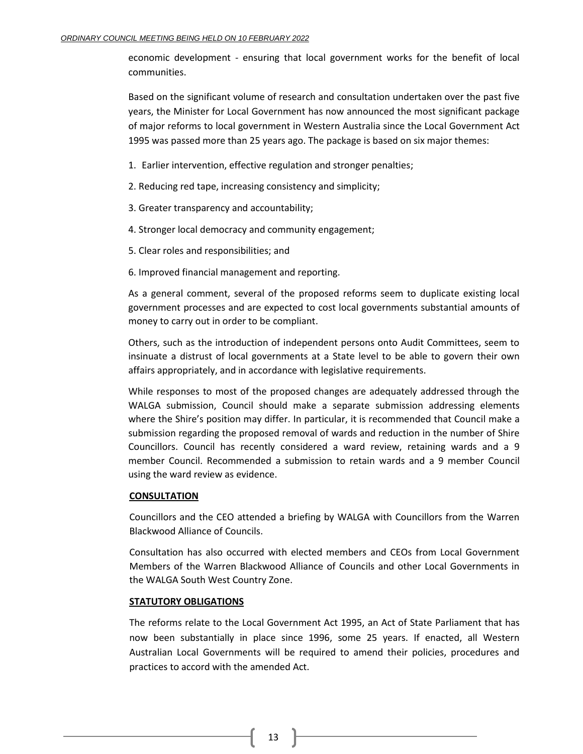economic development - ensuring that local government works for the benefit of local communities.

Based on the significant volume of research and consultation undertaken over the past five years, the Minister for Local Government has now announced the most significant package of major reforms to local government in Western Australia since the Local Government Act 1995 was passed more than 25 years ago. The package is based on six major themes:

1. Earlier intervention, effective regulation and stronger penalties;

2. Reducing red tape, increasing consistency and simplicity;

- 3. Greater transparency and accountability;
- 4. Stronger local democracy and community engagement;
- 5. Clear roles and responsibilities; and
- 6. Improved financial management and reporting.

As a general comment, several of the proposed reforms seem to duplicate existing local government processes and are expected to cost local governments substantial amounts of money to carry out in order to be compliant.

Others, such as the introduction of independent persons onto Audit Committees, seem to insinuate a distrust of local governments at a State level to be able to govern their own affairs appropriately, and in accordance with legislative requirements.

While responses to most of the proposed changes are adequately addressed through the WALGA submission, Council should make a separate submission addressing elements where the Shire's position may differ. In particular, it is recommended that Council make a submission regarding the proposed removal of wards and reduction in the number of Shire Councillors. Council has recently considered a ward review, retaining wards and a 9 member Council. Recommended a submission to retain wards and a 9 member Council using the ward review as evidence.

### **CONSULTATION**

Councillors and the CEO attended a briefing by WALGA with Councillors from the Warren Blackwood Alliance of Councils.

Consultation has also occurred with elected members and CEOs from Local Government Members of the Warren Blackwood Alliance of Councils and other Local Governments in the WALGA South West Country Zone.

### **STATUTORY OBLIGATIONS**

The reforms relate to the Local Government Act 1995, an Act of State Parliament that has now been substantially in place since 1996, some 25 years. If enacted, all Western Australian Local Governments will be required to amend their policies, procedures and practices to accord with the amended Act.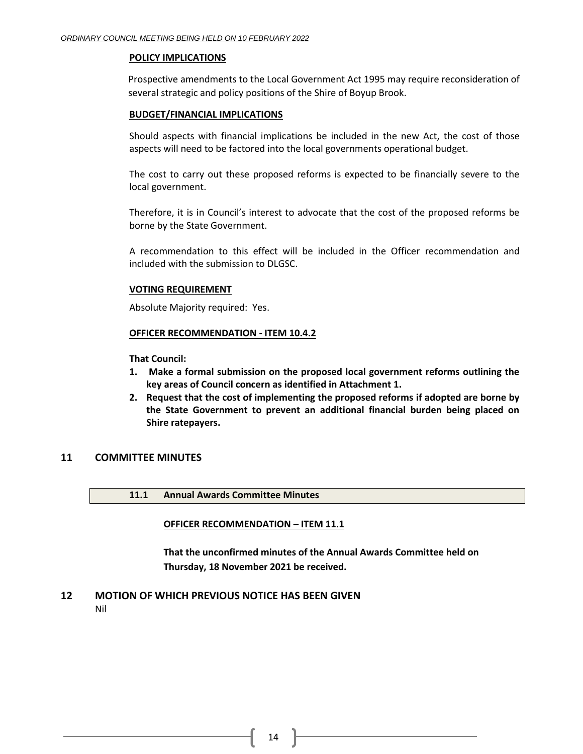### **POLICY IMPLICATIONS**

Prospective amendments to the Local Government Act 1995 may require reconsideration of several strategic and policy positions of the Shire of Boyup Brook.

# **BUDGET/FINANCIAL IMPLICATIONS**

Should aspects with financial implications be included in the new Act, the cost of those aspects will need to be factored into the local governments operational budget.

The cost to carry out these proposed reforms is expected to be financially severe to the local government.

Therefore, it is in Council's interest to advocate that the cost of the proposed reforms be borne by the State Government.

A recommendation to this effect will be included in the Officer recommendation and included with the submission to DLGSC.

# **VOTING REQUIREMENT**

Absolute Majority required: Yes.

# **OFFICER RECOMMENDATION - ITEM 10.4.2**

**That Council:**

- **1. Make a formal submission on the proposed local government reforms outlining the key areas of Council concern as identified in Attachment 1.**
- **2. Request that the cost of implementing the proposed reforms if adopted are borne by the State Government to prevent an additional financial burden being placed on Shire ratepayers.**

# <span id="page-13-0"></span>**11 COMMITTEE MINUTES**

<span id="page-13-1"></span>**11.1 Annual Awards Committee Minutes**

### <span id="page-13-2"></span>**OFFICER RECOMMENDATION – ITEM 11.1**

**That the unconfirmed minutes of the Annual Awards Committee held on Thursday, 18 November 2021 be received.**

# <span id="page-13-3"></span>**12 MOTION OF WHICH PREVIOUS NOTICE HAS BEEN GIVEN**

Nil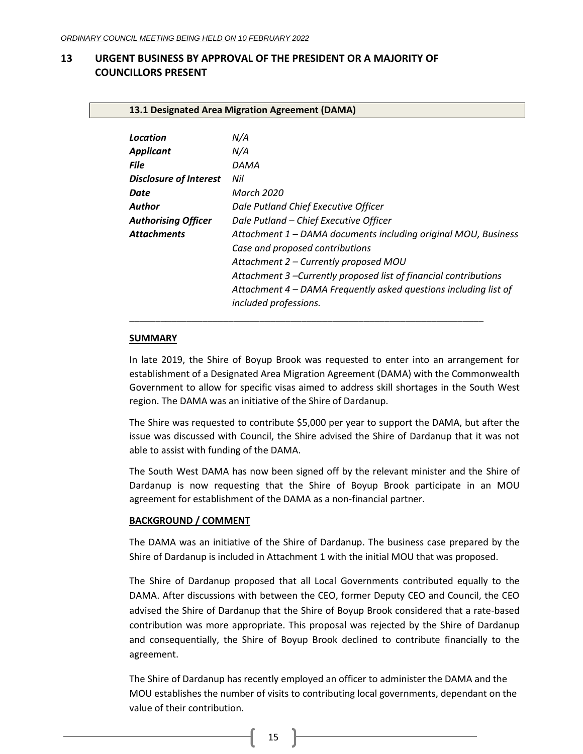# <span id="page-14-1"></span><span id="page-14-0"></span>**13 URGENT BUSINESS BY APPROVAL OF THE PRESIDENT OR A MAJORITY OF COUNCILLORS PRESENT**

<span id="page-14-2"></span>**13.1 Designated Area Migration Agreement (DAMA)**

| Location                      | N/A                                                                                       |
|-------------------------------|-------------------------------------------------------------------------------------------|
| <b>Applicant</b>              | N/A                                                                                       |
| <b>File</b>                   | DAMA                                                                                      |
| <b>Disclosure of Interest</b> | Nil                                                                                       |
| Date                          | March 2020                                                                                |
| Author                        | Dale Putland Chief Executive Officer                                                      |
| <b>Authorising Officer</b>    | Dale Putland - Chief Executive Officer                                                    |
| <b>Attachments</b>            | Attachment 1 – DAMA documents including original MOU, Business                            |
|                               | Case and proposed contributions                                                           |
|                               | Attachment 2 – Currently proposed MOU                                                     |
|                               | Attachment 3 –Currently proposed list of financial contributions                          |
|                               | Attachment 4 - DAMA Frequently asked questions including list of<br>included professions. |
|                               |                                                                                           |

### **SUMMARY**

In late 2019, the Shire of Boyup Brook was requested to enter into an arrangement for establishment of a Designated Area Migration Agreement (DAMA) with the Commonwealth Government to allow for specific visas aimed to address skill shortages in the South West region. The DAMA was an initiative of the Shire of Dardanup.

The Shire was requested to contribute \$5,000 per year to support the DAMA, but after the issue was discussed with Council, the Shire advised the Shire of Dardanup that it was not able to assist with funding of the DAMA.

The South West DAMA has now been signed off by the relevant minister and the Shire of Dardanup is now requesting that the Shire of Boyup Brook participate in an MOU agreement for establishment of the DAMA as a non-financial partner.

### **BACKGROUND / COMMENT**

The DAMA was an initiative of the Shire of Dardanup. The business case prepared by the Shire of Dardanup is included in Attachment 1 with the initial MOU that was proposed.

The Shire of Dardanup proposed that all Local Governments contributed equally to the DAMA. After discussions with between the CEO, former Deputy CEO and Council, the CEO advised the Shire of Dardanup that the Shire of Boyup Brook considered that a rate-based contribution was more appropriate. This proposal was rejected by the Shire of Dardanup and consequentially, the Shire of Boyup Brook declined to contribute financially to the agreement.

The Shire of Dardanup has recently employed an officer to administer the DAMA and the MOU establishes the number of visits to contributing local governments, dependant on the value of their contribution.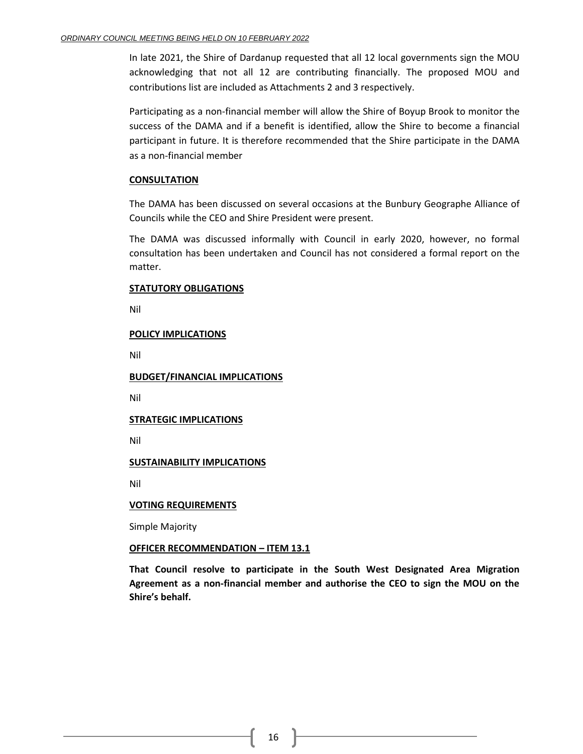In late 2021, the Shire of Dardanup requested that all 12 local governments sign the MOU acknowledging that not all 12 are contributing financially. The proposed MOU and contributions list are included as Attachments 2 and 3 respectively.

Participating as a non-financial member will allow the Shire of Boyup Brook to monitor the success of the DAMA and if a benefit is identified, allow the Shire to become a financial participant in future. It is therefore recommended that the Shire participate in the DAMA as a non-financial member

# **CONSULTATION**

The DAMA has been discussed on several occasions at the Bunbury Geographe Alliance of Councils while the CEO and Shire President were present.

The DAMA was discussed informally with Council in early 2020, however, no formal consultation has been undertaken and Council has not considered a formal report on the matter.

# **STATUTORY OBLIGATIONS**

Nil

# **POLICY IMPLICATIONS**

Nil

**BUDGET/FINANCIAL IMPLICATIONS**

Nil

# **STRATEGIC IMPLICATIONS**

Nil

# **SUSTAINABILITY IMPLICATIONS**

Nil

### **VOTING REQUIREMENTS**

Simple Majority

# **OFFICER RECOMMENDATION – ITEM 13.1**

**That Council resolve to participate in the South West Designated Area Migration Agreement as a non-financial member and authorise the CEO to sign the MOU on the Shire's behalf.**